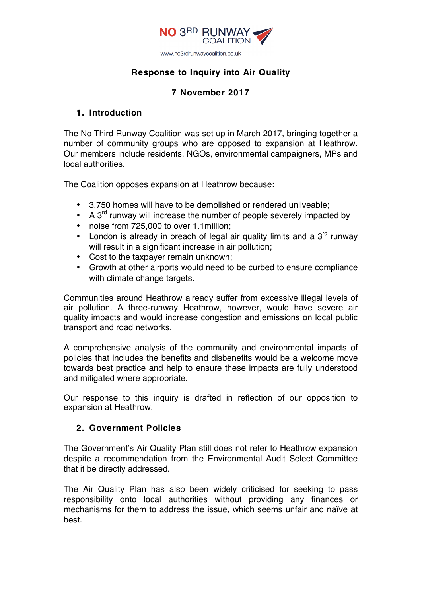

### **Response to Inquiry into Air Quality**

# **7 November 2017**

#### **1. Introduction**

The No Third Runway Coalition was set up in March 2017, bringing together a number of community groups who are opposed to expansion at Heathrow. Our members include residents, NGOs, environmental campaigners, MPs and local authorities.

The Coalition opposes expansion at Heathrow because:

- 3,750 homes will have to be demolished or rendered unliveable;
- A  $3<sup>rd</sup>$  runway will increase the number of people severely impacted by
- noise from 725,000 to over 1.1million;
- London is already in breach of legal air quality limits and a  $3<sup>rd</sup>$  runway will result in a significant increase in air pollution:
- Cost to the taxpayer remain unknown;
- Growth at other airports would need to be curbed to ensure compliance with climate change targets.

Communities around Heathrow already suffer from excessive illegal levels of air pollution. A three-runway Heathrow, however, would have severe air quality impacts and would increase congestion and emissions on local public transport and road networks.

A comprehensive analysis of the community and environmental impacts of policies that includes the benefits and disbenefits would be a welcome move towards best practice and help to ensure these impacts are fully understood and mitigated where appropriate.

Our response to this inquiry is drafted in reflection of our opposition to expansion at Heathrow.

## **2. Government Policies**

The Government's Air Quality Plan still does not refer to Heathrow expansion despite a recommendation from the Environmental Audit Select Committee that it be directly addressed.

The Air Quality Plan has also been widely criticised for seeking to pass responsibility onto local authorities without providing any finances or mechanisms for them to address the issue, which seems unfair and naïve at best.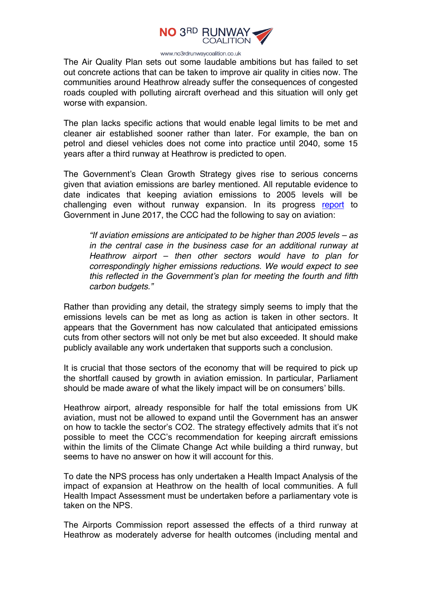

www.no3rdrunwaycoalition.co.uk

The Air Quality Plan sets out some laudable ambitions but has failed to set out concrete actions that can be taken to improve air quality in cities now. The communities around Heathrow already suffer the consequences of congested roads coupled with polluting aircraft overhead and this situation will only get worse with expansion.

The plan lacks specific actions that would enable legal limits to be met and cleaner air established sooner rather than later. For example, the ban on petrol and diesel vehicles does not come into practice until 2040, some 15 years after a third runway at Heathrow is predicted to open.

The Government's Clean Growth Strategy gives rise to serious concerns given that aviation emissions are barley mentioned. All reputable evidence to date indicates that keeping aviation emissions to 2005 levels will be challenging even without runway expansion. In its progress report to Government in June 2017, the CCC had the following to say on aviation:

*"If aviation emissions are anticipated to be higher than 2005 levels – as in the central case in the business case for an additional runway at Heathrow airport – then other sectors would have to plan for correspondingly higher emissions reductions. We would expect to see this reflected in the Government's plan for meeting the fourth and fifth carbon budgets."*

Rather than providing any detail, the strategy simply seems to imply that the emissions levels can be met as long as action is taken in other sectors. It appears that the Government has now calculated that anticipated emissions cuts from other sectors will not only be met but also exceeded. It should make publicly available any work undertaken that supports such a conclusion.

It is crucial that those sectors of the economy that will be required to pick up the shortfall caused by growth in aviation emission. In particular, Parliament should be made aware of what the likely impact will be on consumers' bills.

Heathrow airport, already responsible for half the total emissions from UK aviation, must not be allowed to expand until the Government has an answer on how to tackle the sector's CO2. The strategy effectively admits that it's not possible to meet the CCC's recommendation for keeping aircraft emissions within the limits of the Climate Change Act while building a third runway, but seems to have no answer on how it will account for this.

To date the NPS process has only undertaken a Health Impact Analysis of the impact of expansion at Heathrow on the health of local communities. A full Health Impact Assessment must be undertaken before a parliamentary vote is taken on the NPS.

The Airports Commission report assessed the effects of a third runway at Heathrow as moderately adverse for health outcomes (including mental and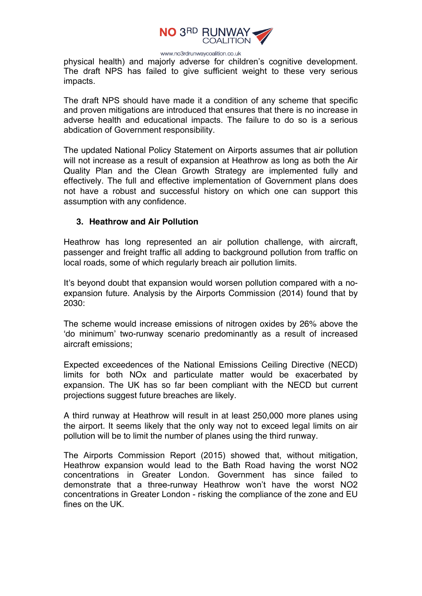

www.no3rdrunwaycoalition.co.uk

physical health) and majorly adverse for children's cognitive development. The draft NPS has failed to give sufficient weight to these very serious impacts.

The draft NPS should have made it a condition of any scheme that specific and proven mitigations are introduced that ensures that there is no increase in adverse health and educational impacts. The failure to do so is a serious abdication of Government responsibility.

The updated National Policy Statement on Airports assumes that air pollution will not increase as a result of expansion at Heathrow as long as both the Air Quality Plan and the Clean Growth Strategy are implemented fully and effectively. The full and effective implementation of Government plans does not have a robust and successful history on which one can support this assumption with any confidence.

#### **3. Heathrow and Air Pollution**

Heathrow has long represented an air pollution challenge, with aircraft, passenger and freight traffic all adding to background pollution from traffic on local roads, some of which regularly breach air pollution limits.

It's beyond doubt that expansion would worsen pollution compared with a noexpansion future. Analysis by the Airports Commission (2014) found that by 2030:

The scheme would increase emissions of nitrogen oxides by 26% above the 'do minimum' two-runway scenario predominantly as a result of increased aircraft emissions;

Expected exceedences of the National Emissions Ceiling Directive (NECD) limits for both NOx and particulate matter would be exacerbated by expansion. The UK has so far been compliant with the NECD but current projections suggest future breaches are likely.

A third runway at Heathrow will result in at least 250,000 more planes using the airport. It seems likely that the only way not to exceed legal limits on air pollution will be to limit the number of planes using the third runway.

The Airports Commission Report (2015) showed that, without mitigation, Heathrow expansion would lead to the Bath Road having the worst NO2 concentrations in Greater London. Government has since failed to demonstrate that a three-runway Heathrow won't have the worst NO2 concentrations in Greater London - risking the compliance of the zone and EU fines on the UK.